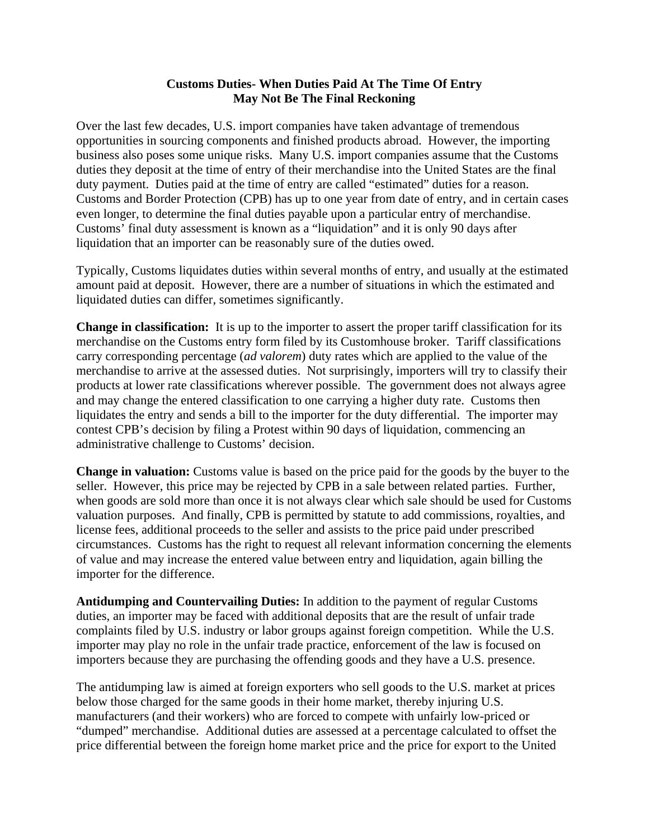## **Customs Duties- When Duties Paid At The Time Of Entry May Not Be The Final Reckoning**

Over the last few decades, U.S. import companies have taken advantage of tremendous opportunities in sourcing components and finished products abroad. However, the importing business also poses some unique risks. Many U.S. import companies assume that the Customs duties they deposit at the time of entry of their merchandise into the United States are the final duty payment. Duties paid at the time of entry are called "estimated" duties for a reason. Customs and Border Protection (CPB) has up to one year from date of entry, and in certain cases even longer, to determine the final duties payable upon a particular entry of merchandise. Customs' final duty assessment is known as a "liquidation" and it is only 90 days after liquidation that an importer can be reasonably sure of the duties owed.

Typically, Customs liquidates duties within several months of entry, and usually at the estimated amount paid at deposit. However, there are a number of situations in which the estimated and liquidated duties can differ, sometimes significantly.

**Change in classification:** It is up to the importer to assert the proper tariff classification for its merchandise on the Customs entry form filed by its Customhouse broker. Tariff classifications carry corresponding percentage (*ad valorem*) duty rates which are applied to the value of the merchandise to arrive at the assessed duties. Not surprisingly, importers will try to classify their products at lower rate classifications wherever possible. The government does not always agree and may change the entered classification to one carrying a higher duty rate. Customs then liquidates the entry and sends a bill to the importer for the duty differential. The importer may contest CPB's decision by filing a Protest within 90 days of liquidation, commencing an administrative challenge to Customs' decision.

**Change in valuation:** Customs value is based on the price paid for the goods by the buyer to the seller. However, this price may be rejected by CPB in a sale between related parties. Further, when goods are sold more than once it is not always clear which sale should be used for Customs valuation purposes. And finally, CPB is permitted by statute to add commissions, royalties, and license fees, additional proceeds to the seller and assists to the price paid under prescribed circumstances. Customs has the right to request all relevant information concerning the elements of value and may increase the entered value between entry and liquidation, again billing the importer for the difference.

**Antidumping and Countervailing Duties:** In addition to the payment of regular Customs duties, an importer may be faced with additional deposits that are the result of unfair trade complaints filed by U.S. industry or labor groups against foreign competition. While the U.S. importer may play no role in the unfair trade practice, enforcement of the law is focused on importers because they are purchasing the offending goods and they have a U.S. presence.

The antidumping law is aimed at foreign exporters who sell goods to the U.S. market at prices below those charged for the same goods in their home market, thereby injuring U.S. manufacturers (and their workers) who are forced to compete with unfairly low-priced or "dumped" merchandise. Additional duties are assessed at a percentage calculated to offset the price differential between the foreign home market price and the price for export to the United